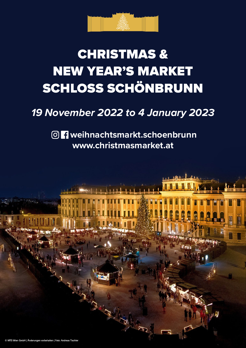

# CHRISTMAS & NEW YEAR'S MARKET SCHLOSS SCHÖNBRUNN

### *19 November 2022 to 4 January 2023*

**weihnachtsmarkt.schoenbrunn www.christmasmarket.at**

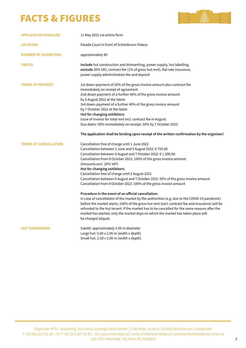### FACTS & FIGURES



| <b>APPLICATION DEADLINE</b>  | 11 May 2022 via online form                                                                                                                                                                                                                                                                                                                                                                                                                                                                                                                                                                                                                                                                                                                                                                                                                                                                                                                                            |
|------------------------------|------------------------------------------------------------------------------------------------------------------------------------------------------------------------------------------------------------------------------------------------------------------------------------------------------------------------------------------------------------------------------------------------------------------------------------------------------------------------------------------------------------------------------------------------------------------------------------------------------------------------------------------------------------------------------------------------------------------------------------------------------------------------------------------------------------------------------------------------------------------------------------------------------------------------------------------------------------------------|
| <b>LOCATION</b>              | Parade Court in front of Schönbrunn Palace                                                                                                                                                                                                                                                                                                                                                                                                                                                                                                                                                                                                                                                                                                                                                                                                                                                                                                                             |
| <b>NUMBER OF EXHIBITORS</b>  | approximately 80                                                                                                                                                                                                                                                                                                                                                                                                                                                                                                                                                                                                                                                                                                                                                                                                                                                                                                                                                       |
| <b>PRICES</b>                | include hut construction and dismantling, power supply, hut labelling,<br>exclude 20% VAT, contract fee (1% of gross hut rent), flat-rate insurance,<br>power supply administration fee and deposit                                                                                                                                                                                                                                                                                                                                                                                                                                                                                                                                                                                                                                                                                                                                                                    |
| <b>TERMS OF PAYMENT</b>      | 1st down-payment of 20% of the gross invoice amount plus contract fee<br>immediately on receipt of agreement<br>2nd down-payment of a further 40% of the gross invoice amount<br>by 5 August 2022 at the latest<br>3rd down-payment of a further 40% of the gross invoice amount<br>by 7 October 2022 at the latest<br>Hut for changing exhibitors:<br>Issue of invoice for total rent incl. contract fee in August.<br>Due dates: 50% immediately on receipt, 50% by 7 October 2022<br>The application shall be binding upon receipt of the written confirmation by the organiser!                                                                                                                                                                                                                                                                                                                                                                                    |
| <b>TERMS OF CANCELLATION</b> | Cancellation free of charge until 1 June 2022<br>Cancellation between 2 June and 5 August 2022: € 750.00<br>Cancellation between 6 August and 7 October 2022: € 1.500.00<br>Cancellation from 8 October 2022: 100% of the gross invoice amount<br>(Amounts excl. 20% VAT)<br>Hut for changing exhibitors:<br>Cancellation free of charge until 5 August 2022<br>Cancellation between 6 August and 7 October 2022: 50% of the gross invoice amount<br>Cancellation from 8 October 2022: 100% of the gross invoice amount<br>Procedure in the event of an official cancellation:<br>In case of cancellation of the market by the authorities (e.g. due to the COVID-19 pandemic)<br>before the market starts, 100% of the gross hut rent (excl. contract fee and insurance) will be<br>refunded to the hut tenant. If the market has to be cancelled for the same reasons after the<br>market has started, only the market days on which the market has taken place will |
| <b>HUT DIMENSIONS</b>        | be charged aliquot.<br>Salettl: approximately 5.00 m diameter<br>Large hut: 5.00 x 2.00 m (width x depth)<br>Small hut: 2.50 x 2.00 m (width x depth)                                                                                                                                                                                                                                                                                                                                                                                                                                                                                                                                                                                                                                                                                                                                                                                                                  |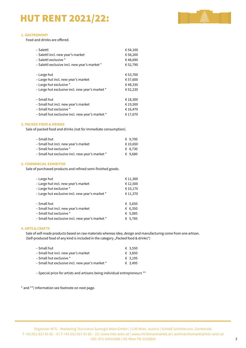### HUT RENT 2021/22:



#### **1. GASTRONOMY**

Food and drinks are offered.

| – Salettl                                       | € 54,100 |
|-------------------------------------------------|----------|
| - Salettl incl. new year's market               | €58,200  |
| - Salettl exclusive *                           | €48,690  |
| - Salettl exclusive incl. new year's market *   | € 52,790 |
|                                                 |          |
| – Large hut                                     | € 53,700 |
| - Large hut incl. new year's market             | € 57,600 |
| - Large hut exclusive *                         | €48,330  |
| - Large hut exclusive incl. new year's market * | €52,230  |
|                                                 |          |
| - Small hut                                     | €18,300  |
| - Small hut incl. new year's market             | €19,500  |
| - Small hut exclusive *                         | € 16,470 |
| - Small hut exclusive incl. new year's market * | € 17,670 |

#### **2. PACKED FOOD & DRINKS**

Sale of packed food and drinks (not for immediate consumption).

| – Small hut                                     | € 9.700  |
|-------------------------------------------------|----------|
| – Small hut incl. new year's market             | € 10.650 |
| – Small hut exclusive *                         | € 8.730  |
| – Small hut exclusive incl. new year's market * | € 9.680  |

#### **3. COMMERCIAL EXHIBITOR**

Sale of purchased products and refined semi-finished goods.

| - Large hut                                     | € 11,300 |
|-------------------------------------------------|----------|
| – Large hut incl. new year's market             | € 12,500 |
| - Large hut exclusive *                         | € 10,170 |
| - Large hut exclusive incl. new year's market * | € 11,370 |
|                                                 |          |
| - Small hut                                     | € 5.650  |
| - Small hut incl. new year's market             | € 6,350  |
| - Small hut exclusive *                         | € 5,085  |
| - Small hut exclusive incl. new year's market * | € 5,785  |

#### **4. ARTS & CRAFTS**

Sale of self-made products based on raw materials whereas idea, design and manufacturing come from one artisan. (Self-produced food of any kind is included in the category "Packed food & drinks")

| – Small hut                                     | € 3,550 |
|-------------------------------------------------|---------|
| – Small hut incl. new year's market             | € 3,850 |
| – Small hut exclusive *                         | € 3.195 |
| – Small hut exclusive incl. new year's market * | € 3.495 |
|                                                 |         |

– Special price for artists and artisans being individual entrepreneurs \*\*

\* and \*\*) Information see footnote on next page.